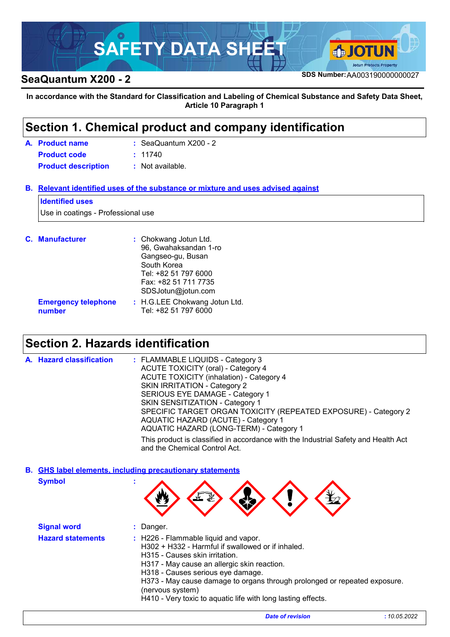

# **SeaQuantum X200 - 2 SDS Number:**AA003190000000027

**In accordance with the Standard for Classification and Labeling of Chemical Substance and Safety Data Sheet, Article 10 Paragraph 1**

## **Section 1. Chemical product and company identification**

| A. Product name            | $\therefore$ SeaQuantum X200 - 2 |  |
|----------------------------|----------------------------------|--|
| <b>Product code</b>        | : 11740                          |  |
| <b>Product description</b> | : Not available.                 |  |

## **Relevant identified uses of the substance or mixture and uses advised against B.**

#### **Identified uses**

Use in coatings - Professional use

| <b>C.</b> Manufacturer               | : Chokwang Jotun Ltd.<br>96, Gwahaksandan 1-ro<br>Gangseo-gu, Busan<br>South Korea<br>Tel: +82 51 797 6000<br>Fax: +82 51 711 7735<br>SDSJotun@jotun.com |
|--------------------------------------|----------------------------------------------------------------------------------------------------------------------------------------------------------|
| <b>Emergency telephone</b><br>number | : H.G.LEE Chokwang Jotun Ltd.<br>Tel: +82 51 797 6000                                                                                                    |

# **Section 2. Hazards identification**

| A. Hazard classification | : FLAMMABLE LIQUIDS - Category 3<br><b>ACUTE TOXICITY (oral) - Category 4</b><br><b>ACUTE TOXICITY (inhalation) - Category 4</b><br>SKIN IRRITATION - Category 2<br>SERIOUS EYE DAMAGE - Category 1<br>SKIN SENSITIZATION - Category 1<br>SPECIFIC TARGET ORGAN TOXICITY (REPEATED EXPOSURE) - Category 2<br>AQUATIC HAZARD (ACUTE) - Category 1 |
|--------------------------|--------------------------------------------------------------------------------------------------------------------------------------------------------------------------------------------------------------------------------------------------------------------------------------------------------------------------------------------------|
|                          | AQUATIC HAZARD (LONG-TERM) - Category 1                                                                                                                                                                                                                                                                                                          |
|                          | This product is classified in accordance with the Industrial Safety and Health Act<br>and the Chemical Control Act.                                                                                                                                                                                                                              |

**Symbol : GHS label elements, including precautionary statements B.**

| - 11 | ₹.<br>$\mathbf{u}$<br>w | Y |  |
|------|-------------------------|---|--|
|      |                         |   |  |

|                                                                                                                                                                                                                                                                                                                                                                                                              | <b>Signal word</b> |  |
|--------------------------------------------------------------------------------------------------------------------------------------------------------------------------------------------------------------------------------------------------------------------------------------------------------------------------------------------------------------------------------------------------------------|--------------------|--|
| <b>Hazard statements</b><br>: H226 - Flammable liquid and vapor.<br>H302 + H332 - Harmful if swallowed or if inhaled.<br>H315 - Causes skin irritation.<br>H317 - May cause an allergic skin reaction.<br>H318 - Causes serious eye damage.<br>H373 - May cause damage to organs through prolonged or repeated exposure.<br>(nervous system)<br>H410 - Very toxic to aquatic life with long lasting effects. |                    |  |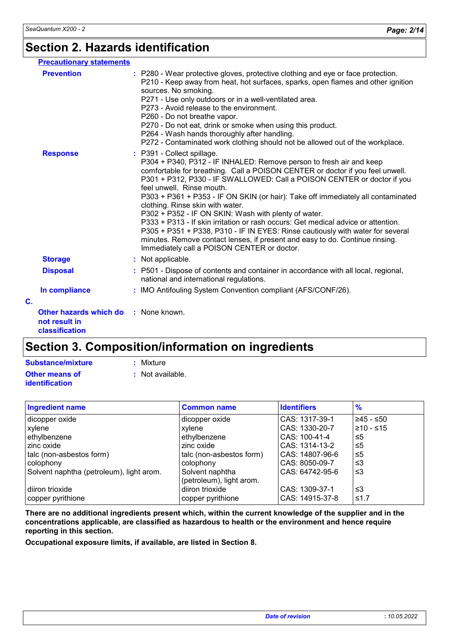# **Section 2. Hazards identification**

| <b>Precautionary statements</b>                                         |                                                                                                                                                                                                                                                                                                                                                                                                                                                                                                                                                                                                                                                                                                                                                                                  |
|-------------------------------------------------------------------------|----------------------------------------------------------------------------------------------------------------------------------------------------------------------------------------------------------------------------------------------------------------------------------------------------------------------------------------------------------------------------------------------------------------------------------------------------------------------------------------------------------------------------------------------------------------------------------------------------------------------------------------------------------------------------------------------------------------------------------------------------------------------------------|
| <b>Prevention</b>                                                       | : P280 - Wear protective gloves, protective clothing and eye or face protection.<br>P210 - Keep away from heat, hot surfaces, sparks, open flames and other ignition<br>sources. No smoking.<br>P271 - Use only outdoors or in a well-ventilated area.<br>P273 - Avoid release to the environment.<br>P260 - Do not breathe vapor.<br>P270 - Do not eat, drink or smoke when using this product.<br>P264 - Wash hands thoroughly after handling.<br>P272 - Contaminated work clothing should not be allowed out of the workplace.                                                                                                                                                                                                                                                |
| <b>Response</b>                                                         | : P391 - Collect spillage.<br>P304 + P340, P312 - IF INHALED: Remove person to fresh air and keep<br>comfortable for breathing. Call a POISON CENTER or doctor if you feel unwell.<br>P301 + P312, P330 - IF SWALLOWED: Call a POISON CENTER or doctor if you<br>feel unwell. Rinse mouth.<br>P303 + P361 + P353 - IF ON SKIN (or hair): Take off immediately all contaminated<br>clothing. Rinse skin with water.<br>P302 + P352 - IF ON SKIN: Wash with plenty of water.<br>P333 + P313 - If skin irritation or rash occurs: Get medical advice or attention.<br>P305 + P351 + P338, P310 - IF IN EYES: Rinse cautiously with water for several<br>minutes. Remove contact lenses, if present and easy to do. Continue rinsing.<br>Immediately call a POISON CENTER or doctor. |
| <b>Storage</b>                                                          | : Not applicable.                                                                                                                                                                                                                                                                                                                                                                                                                                                                                                                                                                                                                                                                                                                                                                |
| <b>Disposal</b>                                                         | : P501 - Dispose of contents and container in accordance with all local, regional,<br>national and international regulations.                                                                                                                                                                                                                                                                                                                                                                                                                                                                                                                                                                                                                                                    |
| In compliance                                                           | : IMO Antifouling System Convention compliant (AFS/CONF/26).                                                                                                                                                                                                                                                                                                                                                                                                                                                                                                                                                                                                                                                                                                                     |
| C.                                                                      |                                                                                                                                                                                                                                                                                                                                                                                                                                                                                                                                                                                                                                                                                                                                                                                  |
| Other hazards which do : None known.<br>not result in<br>classification |                                                                                                                                                                                                                                                                                                                                                                                                                                                                                                                                                                                                                                                                                                                                                                                  |

# **Section 3. Composition/information on ingredients**

| Mixture |
|---------|
|---------|

| Substance/mixture     | : Mixture        |
|-----------------------|------------------|
| Other means of        | : Not available. |
| <b>identification</b> |                  |

| <b>Ingredient name</b>                   | <b>Common name</b>       | <b>Identifiers</b> | $\frac{9}{6}$ |
|------------------------------------------|--------------------------|--------------------|---------------|
| dicopper oxide                           | dicopper oxide           | CAS: 1317-39-1     | $≥45 - ≤50$   |
| xylene                                   | xylene                   | CAS: 1330-20-7     | $≥10 - ≤15$   |
| ethylbenzene                             | ethylbenzene             | CAS: 100-41-4      | ≤5            |
| zinc oxide                               | zinc oxide               | CAS: 1314-13-2     | ≤5            |
| talc (non-asbestos form)                 | talc (non-asbestos form) | CAS: 14807-96-6    | -≤5           |
| colophony                                | colophony                | CAS: 8050-09-7     | ו≥ ≥          |
| Solvent naphtha (petroleum), light arom. | Solvent naphtha          | CAS: 64742-95-6    | -≤3           |
|                                          | (petroleum), light arom. |                    |               |
| diiron trioxide                          | diiron trioxide          | CAS: 1309-37-1     | ו≥ ≥          |
| copper pyrithione                        | copper pyrithione        | CAS: 14915-37-8    | ≤1.7          |

**There are no additional ingredients present which, within the current knowledge of the supplier and in the concentrations applicable, are classified as hazardous to health or the environment and hence require reporting in this section.**

**Occupational exposure limits, if available, are listed in Section 8.**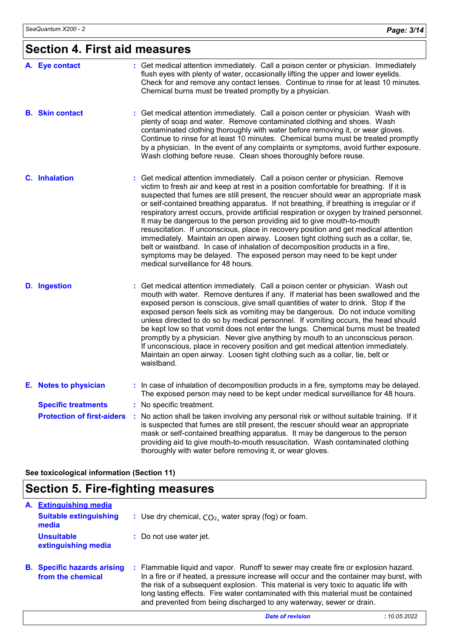# **Section 4. First aid measures**

| A. Eye contact                    | : Get medical attention immediately. Call a poison center or physician. Immediately<br>flush eyes with plenty of water, occasionally lifting the upper and lower eyelids.<br>Check for and remove any contact lenses. Continue to rinse for at least 10 minutes.<br>Chemical burns must be treated promptly by a physician.                                                                                                                                                                                                                                                                                                                                                                                                                                                                                                                                                                                     |
|-----------------------------------|-----------------------------------------------------------------------------------------------------------------------------------------------------------------------------------------------------------------------------------------------------------------------------------------------------------------------------------------------------------------------------------------------------------------------------------------------------------------------------------------------------------------------------------------------------------------------------------------------------------------------------------------------------------------------------------------------------------------------------------------------------------------------------------------------------------------------------------------------------------------------------------------------------------------|
| <b>B.</b> Skin contact            | : Get medical attention immediately. Call a poison center or physician. Wash with<br>plenty of soap and water. Remove contaminated clothing and shoes. Wash<br>contaminated clothing thoroughly with water before removing it, or wear gloves.<br>Continue to rinse for at least 10 minutes. Chemical burns must be treated promptly<br>by a physician. In the event of any complaints or symptoms, avoid further exposure.<br>Wash clothing before reuse. Clean shoes thoroughly before reuse.                                                                                                                                                                                                                                                                                                                                                                                                                 |
| C. Inhalation                     | : Get medical attention immediately. Call a poison center or physician. Remove<br>victim to fresh air and keep at rest in a position comfortable for breathing. If it is<br>suspected that fumes are still present, the rescuer should wear an appropriate mask<br>or self-contained breathing apparatus. If not breathing, if breathing is irregular or if<br>respiratory arrest occurs, provide artificial respiration or oxygen by trained personnel.<br>It may be dangerous to the person providing aid to give mouth-to-mouth<br>resuscitation. If unconscious, place in recovery position and get medical attention<br>immediately. Maintain an open airway. Loosen tight clothing such as a collar, tie,<br>belt or waistband. In case of inhalation of decomposition products in a fire,<br>symptoms may be delayed. The exposed person may need to be kept under<br>medical surveillance for 48 hours. |
| <b>D.</b> Ingestion               | : Get medical attention immediately. Call a poison center or physician. Wash out<br>mouth with water. Remove dentures if any. If material has been swallowed and the<br>exposed person is conscious, give small quantities of water to drink. Stop if the<br>exposed person feels sick as vomiting may be dangerous. Do not induce vomiting<br>unless directed to do so by medical personnel. If vomiting occurs, the head should<br>be kept low so that vomit does not enter the lungs. Chemical burns must be treated<br>promptly by a physician. Never give anything by mouth to an unconscious person.<br>If unconscious, place in recovery position and get medical attention immediately.<br>Maintain an open airway. Loosen tight clothing such as a collar, tie, belt or<br>waistband.                                                                                                                  |
| E. Notes to physician             | : In case of inhalation of decomposition products in a fire, symptoms may be delayed.<br>The exposed person may need to be kept under medical surveillance for 48 hours.                                                                                                                                                                                                                                                                                                                                                                                                                                                                                                                                                                                                                                                                                                                                        |
| <b>Specific treatments</b>        | : No specific treatment.                                                                                                                                                                                                                                                                                                                                                                                                                                                                                                                                                                                                                                                                                                                                                                                                                                                                                        |
| <b>Protection of first-aiders</b> | : No action shall be taken involving any personal risk or without suitable training. If it<br>is suspected that fumes are still present, the rescuer should wear an appropriate<br>mask or self-contained breathing apparatus. It may be dangerous to the person<br>providing aid to give mouth-to-mouth resuscitation. Wash contaminated clothing<br>thoroughly with water before removing it, or wear gloves.                                                                                                                                                                                                                                                                                                                                                                                                                                                                                                 |

**See toxicological information (Section 11)**

# **Section 5. Fire-fighting measures**

| A. | <b>Extinguishing media</b>                              |                                                                                                                                                                                                                                                                                                                                                                                                                                      |
|----|---------------------------------------------------------|--------------------------------------------------------------------------------------------------------------------------------------------------------------------------------------------------------------------------------------------------------------------------------------------------------------------------------------------------------------------------------------------------------------------------------------|
|    | <b>Suitable extinguishing</b><br>media                  | : Use dry chemical, $CO2$ , water spray (fog) or foam.                                                                                                                                                                                                                                                                                                                                                                               |
|    | <b>Unsuitable</b><br>extinguishing media                | : Do not use water jet.                                                                                                                                                                                                                                                                                                                                                                                                              |
|    | <b>B.</b> Specific hazards arising<br>from the chemical | : Flammable liquid and vapor. Runoff to sewer may create fire or explosion hazard.<br>In a fire or if heated, a pressure increase will occur and the container may burst, with<br>the risk of a subsequent explosion. This material is very toxic to aquatic life with<br>long lasting effects. Fire water contaminated with this material must be contained<br>and prevented from being discharged to any waterway, sewer or drain. |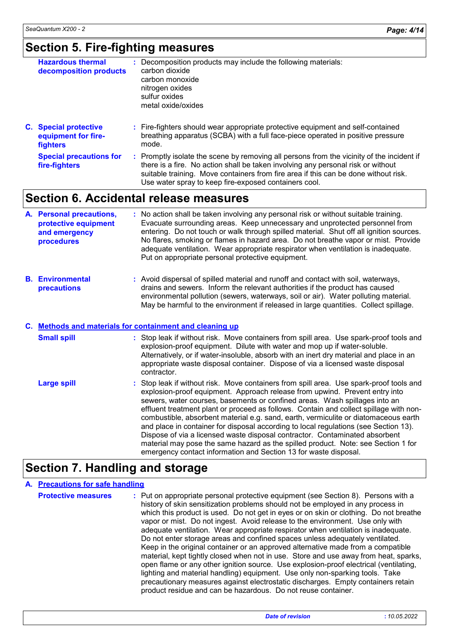# **Section 5. Fire-fighting measures**

| <b>Hazardous thermal</b><br>decomposition products                     | : Decomposition products may include the following materials:<br>carbon dioxide<br>carbon monoxide<br>nitrogen oxides<br>sulfur oxides<br>metal oxide/oxides                |
|------------------------------------------------------------------------|-----------------------------------------------------------------------------------------------------------------------------------------------------------------------------|
| <b>C.</b> Special protective<br>equipment for fire-<br><b>fighters</b> | : Fire-fighters should wear appropriate protective equipment and self-contained<br>breathing apparatus (SCBA) with a full face-piece operated in positive pressure<br>mode. |
| Snacial procautions for                                                | Promptly isolate the scene by removing all persons from the vicinity of the incident if                                                                                     |

ene by removing all persons from the vicinity of the incident if there is a fire. No action shall be taken involving any personal risk or without suitable training. Move containers from fire area if this can be done without risk. Use water spray to keep fire-exposed containers cool. **Special precautions for fire-fighters :**

## **Section 6. Accidental release measures**

| A. Personal precautions,<br>protective equipment<br>and emergency<br>procedures | : No action shall be taken involving any personal risk or without suitable training.<br>Evacuate surrounding areas. Keep unnecessary and unprotected personnel from<br>entering. Do not touch or walk through spilled material. Shut off all ignition sources.<br>No flares, smoking or flames in hazard area. Do not breathe vapor or mist. Provide<br>adequate ventilation. Wear appropriate respirator when ventilation is inadequate.<br>Put on appropriate personal protective equipment. |
|---------------------------------------------------------------------------------|------------------------------------------------------------------------------------------------------------------------------------------------------------------------------------------------------------------------------------------------------------------------------------------------------------------------------------------------------------------------------------------------------------------------------------------------------------------------------------------------|
|                                                                                 |                                                                                                                                                                                                                                                                                                                                                                                                                                                                                                |

**Environmental B. precautions :** Avoid dispersal of spilled material and runoff and contact with soil, waterways, drains and sewers. Inform the relevant authorities if the product has caused environmental pollution (sewers, waterways, soil or air). Water polluting material. May be harmful to the environment if released in large quantities. Collect spillage.

## **Methods and materials for containment and cleaning up C.**

| <b>Small spill</b> | : Stop leak if without risk. Move containers from spill area. Use spark-proof tools and<br>explosion-proof equipment. Dilute with water and mop up if water-soluble.<br>Alternatively, or if water-insoluble, absorb with an inert dry material and place in an<br>appropriate waste disposal container. Dispose of via a licensed waste disposal<br>contractor.                                                                                                                                                                                                                                                                                                                                                                                                      |
|--------------------|-----------------------------------------------------------------------------------------------------------------------------------------------------------------------------------------------------------------------------------------------------------------------------------------------------------------------------------------------------------------------------------------------------------------------------------------------------------------------------------------------------------------------------------------------------------------------------------------------------------------------------------------------------------------------------------------------------------------------------------------------------------------------|
| <b>Large spill</b> | : Stop leak if without risk. Move containers from spill area. Use spark-proof tools and<br>explosion-proof equipment. Approach release from upwind. Prevent entry into<br>sewers, water courses, basements or confined areas. Wash spillages into an<br>effluent treatment plant or proceed as follows. Contain and collect spillage with non-<br>combustible, absorbent material e.g. sand, earth, vermiculite or diatomaceous earth<br>and place in container for disposal according to local regulations (see Section 13).<br>Dispose of via a licensed waste disposal contractor. Contaminated absorbent<br>material may pose the same hazard as the spilled product. Note: see Section 1 for<br>emergency contact information and Section 13 for waste disposal. |

# **Section 7. Handling and storage**

## **A. Precautions for safe handling**

| <b>Protective measures</b> | : Put on appropriate personal protective equipment (see Section 8). Persons with a<br>history of skin sensitization problems should not be employed in any process in<br>which this product is used. Do not get in eyes or on skin or clothing. Do not breathe<br>vapor or mist. Do not ingest. Avoid release to the environment. Use only with<br>adequate ventilation. Wear appropriate respirator when ventilation is inadequate.<br>Do not enter storage areas and confined spaces unless adequately ventilated.<br>Keep in the original container or an approved alternative made from a compatible<br>material, kept tightly closed when not in use. Store and use away from heat, sparks,<br>open flame or any other ignition source. Use explosion-proof electrical (ventilating,<br>lighting and material handling) equipment. Use only non-sparking tools. Take |
|----------------------------|---------------------------------------------------------------------------------------------------------------------------------------------------------------------------------------------------------------------------------------------------------------------------------------------------------------------------------------------------------------------------------------------------------------------------------------------------------------------------------------------------------------------------------------------------------------------------------------------------------------------------------------------------------------------------------------------------------------------------------------------------------------------------------------------------------------------------------------------------------------------------|
|                            | precautionary measures against electrostatic discharges. Empty containers retain<br>product residue and can be hazardous. Do not reuse container.                                                                                                                                                                                                                                                                                                                                                                                                                                                                                                                                                                                                                                                                                                                         |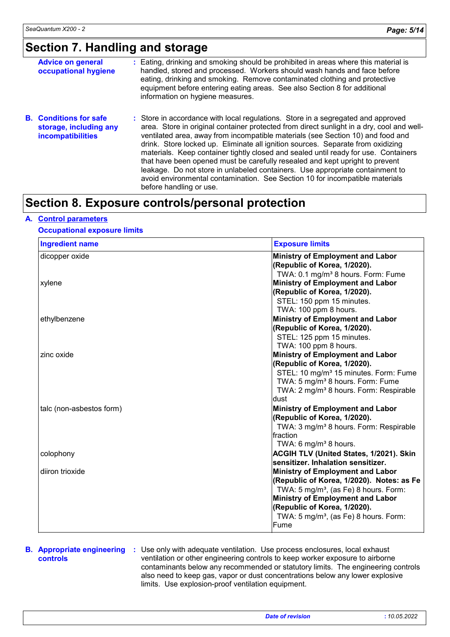# **Section 7. Handling and storage**

| <b>Advice on general</b><br>occupational hygiene                                    | : Eating, drinking and smoking should be prohibited in areas where this material is<br>handled, stored and processed. Workers should wash hands and face before<br>eating, drinking and smoking. Remove contaminated clothing and protective<br>equipment before entering eating areas. See also Section 8 for additional<br>information on hygiene measures.                                                                                                                                                                                                                                                                                                                                                          |
|-------------------------------------------------------------------------------------|------------------------------------------------------------------------------------------------------------------------------------------------------------------------------------------------------------------------------------------------------------------------------------------------------------------------------------------------------------------------------------------------------------------------------------------------------------------------------------------------------------------------------------------------------------------------------------------------------------------------------------------------------------------------------------------------------------------------|
| <b>B.</b> Conditions for safe<br>storage, including any<br><b>incompatibilities</b> | : Store in accordance with local regulations. Store in a segregated and approved<br>area. Store in original container protected from direct sunlight in a dry, cool and well-<br>ventilated area, away from incompatible materials (see Section 10) and food and<br>drink. Store locked up. Eliminate all ignition sources. Separate from oxidizing<br>materials. Keep container tightly closed and sealed until ready for use. Containers<br>that have been opened must be carefully resealed and kept upright to prevent<br>leakage. Do not store in unlabeled containers. Use appropriate containment to<br>avoid environmental contamination. See Section 10 for incompatible materials<br>before handling or use. |

# **Section 8. Exposure controls/personal protection**

## **A. Control parameters**

## **Occupational exposure limits**

| <b>Ingredient name</b>   | <b>Exposure limits</b>                                                                                                                                          |
|--------------------------|-----------------------------------------------------------------------------------------------------------------------------------------------------------------|
| dicopper oxide           | Ministry of Employment and Labor<br>(Republic of Korea, 1/2020).                                                                                                |
|                          | TWA: 0.1 mg/m <sup>3</sup> 8 hours. Form: Fume                                                                                                                  |
| xylene                   | Ministry of Employment and Labor                                                                                                                                |
|                          | (Republic of Korea, 1/2020).                                                                                                                                    |
|                          | STEL: 150 ppm 15 minutes.                                                                                                                                       |
|                          | TWA: 100 ppm 8 hours.                                                                                                                                           |
| ethylbenzene             | <b>Ministry of Employment and Labor</b>                                                                                                                         |
|                          | (Republic of Korea, 1/2020).                                                                                                                                    |
|                          | STEL: 125 ppm 15 minutes.                                                                                                                                       |
|                          | TWA: 100 ppm 8 hours.                                                                                                                                           |
| zinc oxide               | <b>Ministry of Employment and Labor</b>                                                                                                                         |
|                          | (Republic of Korea, 1/2020).                                                                                                                                    |
|                          | STEL: 10 mg/m <sup>3</sup> 15 minutes. Form: Fume<br>TWA: 5 mg/m <sup>3</sup> 8 hours. Form: Fume<br>TWA: 2 mg/m <sup>3</sup> 8 hours. Form: Respirable<br>dust |
| talc (non-asbestos form) | <b>Ministry of Employment and Labor</b>                                                                                                                         |
|                          | (Republic of Korea, 1/2020).                                                                                                                                    |
|                          | TWA: 3 mg/m <sup>3</sup> 8 hours. Form: Respirable                                                                                                              |
|                          | Ifraction                                                                                                                                                       |
|                          | TWA: 6 mg/m <sup>3</sup> 8 hours.                                                                                                                               |
| colophony                | <b>ACGIH TLV (United States, 1/2021). Skin</b>                                                                                                                  |
|                          | sensitizer. Inhalation sensitizer.                                                                                                                              |
| diiron trioxide          | <b>Ministry of Employment and Labor</b>                                                                                                                         |
|                          | (Republic of Korea, 1/2020). Notes: as Fe                                                                                                                       |
|                          | TWA: 5 mg/m <sup>3</sup> , (as Fe) 8 hours. Form:                                                                                                               |
|                          | <b>Ministry of Employment and Labor</b>                                                                                                                         |
|                          | (Republic of Korea, 1/2020).                                                                                                                                    |
|                          | TWA: 5 mg/m <sup>3</sup> , (as Fe) 8 hours. Form:<br>Fume                                                                                                       |

# **controls**

**B. Appropriate engineering :** Use only with adequate ventilation. Use process enclosures, local exhaust ventilation or other engineering controls to keep worker exposure to airborne contaminants below any recommended or statutory limits. The engineering controls also need to keep gas, vapor or dust concentrations below any lower explosive limits. Use explosion-proof ventilation equipment.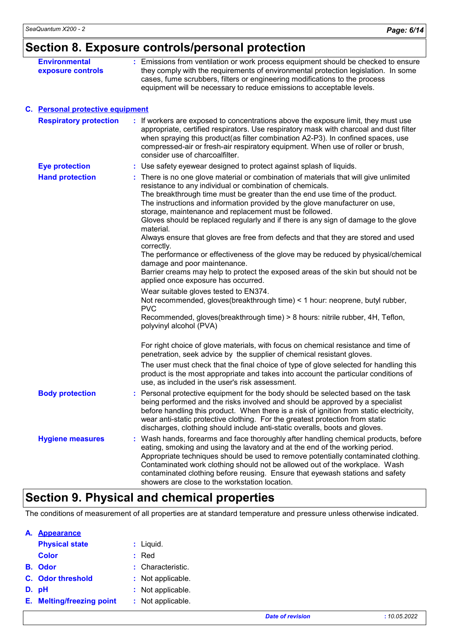| Section 8. Exposure controls/personal protection |  |
|--------------------------------------------------|--|
|--------------------------------------------------|--|

| <b>Environmental</b><br>exposure controls | : Emissions from ventilation or work process equipment should be checked to ensure<br>they comply with the requirements of environmental protection legislation. In some<br>cases, fume scrubbers, filters or engineering modifications to the process<br>equipment will be necessary to reduce emissions to acceptable levels.                                                                                                                                                                                                                                                                                                                                                                                                                                                                                                                                                                                                                                                                                                                                                         |
|-------------------------------------------|-----------------------------------------------------------------------------------------------------------------------------------------------------------------------------------------------------------------------------------------------------------------------------------------------------------------------------------------------------------------------------------------------------------------------------------------------------------------------------------------------------------------------------------------------------------------------------------------------------------------------------------------------------------------------------------------------------------------------------------------------------------------------------------------------------------------------------------------------------------------------------------------------------------------------------------------------------------------------------------------------------------------------------------------------------------------------------------------|
| C. Personal protective equipment          |                                                                                                                                                                                                                                                                                                                                                                                                                                                                                                                                                                                                                                                                                                                                                                                                                                                                                                                                                                                                                                                                                         |
| <b>Respiratory protection</b>             | : If workers are exposed to concentrations above the exposure limit, they must use<br>appropriate, certified respirators. Use respiratory mask with charcoal and dust filter<br>when spraying this product(as filter combination A2-P3). In confined spaces, use<br>compressed-air or fresh-air respiratory equipment. When use of roller or brush,<br>consider use of charcoalfilter.                                                                                                                                                                                                                                                                                                                                                                                                                                                                                                                                                                                                                                                                                                  |
| <b>Eye protection</b>                     | : Use safety eyewear designed to protect against splash of liquids.                                                                                                                                                                                                                                                                                                                                                                                                                                                                                                                                                                                                                                                                                                                                                                                                                                                                                                                                                                                                                     |
| <b>Hand protection</b>                    | : There is no one glove material or combination of materials that will give unlimited<br>resistance to any individual or combination of chemicals.<br>The breakthrough time must be greater than the end use time of the product.<br>The instructions and information provided by the glove manufacturer on use,<br>storage, maintenance and replacement must be followed.<br>Gloves should be replaced regularly and if there is any sign of damage to the glove<br>material.<br>Always ensure that gloves are free from defects and that they are stored and used<br>correctly.<br>The performance or effectiveness of the glove may be reduced by physical/chemical<br>damage and poor maintenance.<br>Barrier creams may help to protect the exposed areas of the skin but should not be<br>applied once exposure has occurred.<br>Wear suitable gloves tested to EN374.<br>Not recommended, gloves (breakthrough time) < 1 hour: neoprene, butyl rubber,<br><b>PVC</b><br>Recommended, gloves(breakthrough time) > 8 hours: nitrile rubber, 4H, Teflon,<br>polyvinyl alcohol (PVA) |
|                                           | For right choice of glove materials, with focus on chemical resistance and time of<br>penetration, seek advice by the supplier of chemical resistant gloves.                                                                                                                                                                                                                                                                                                                                                                                                                                                                                                                                                                                                                                                                                                                                                                                                                                                                                                                            |
|                                           | The user must check that the final choice of type of glove selected for handling this<br>product is the most appropriate and takes into account the particular conditions of<br>use, as included in the user's risk assessment.                                                                                                                                                                                                                                                                                                                                                                                                                                                                                                                                                                                                                                                                                                                                                                                                                                                         |
| <b>Body protection</b>                    | Personal protective equipment for the body should be selected based on the task<br>being performed and the risks involved and should be approved by a specialist<br>before handling this product. When there is a risk of ignition from static electricity,<br>wear anti-static protective clothing. For the greatest protection from static<br>discharges, clothing should include anti-static overalls, boots and gloves.                                                                                                                                                                                                                                                                                                                                                                                                                                                                                                                                                                                                                                                             |
| <b>Hygiene measures</b>                   | Wash hands, forearms and face thoroughly after handling chemical products, before<br>eating, smoking and using the lavatory and at the end of the working period.<br>Appropriate techniques should be used to remove potentially contaminated clothing.<br>Contaminated work clothing should not be allowed out of the workplace. Wash<br>contaminated clothing before reusing. Ensure that eyewash stations and safety<br>showers are close to the workstation location.                                                                                                                                                                                                                                                                                                                                                                                                                                                                                                                                                                                                               |

# **Section 9. Physical and chemical properties**

The conditions of measurement of all properties are at standard temperature and pressure unless otherwise indicated.

| А. | <b>Appearance</b>                |    |                   |
|----|----------------------------------|----|-------------------|
|    | <b>Physical state</b>            |    | : Liquid.         |
|    | <b>Color</b>                     | t. | Red               |
|    | <b>B.</b> Odor                   |    | : Characteristic. |
|    | C. Odor threshold                |    | : Not applicable. |
|    | D. pH                            |    | : Not applicable. |
|    | <b>E.</b> Melting/freezing point |    | : Not applicable. |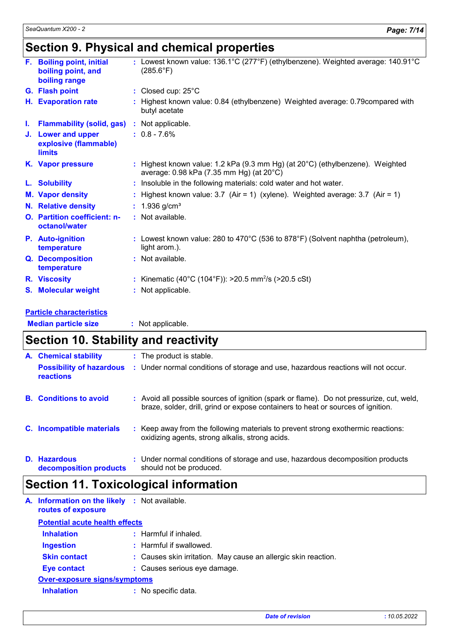# **Section 9. Physical and chemical properties**

|    | F. Boiling point, initial<br>boiling point, and<br>boiling range | : Lowest known value: 136.1°C (277°F) (ethylbenzene). Weighted average: 140.91°C<br>$(285.6^{\circ}F)$                              |
|----|------------------------------------------------------------------|-------------------------------------------------------------------------------------------------------------------------------------|
|    | G. Flash point                                                   | : Closed cup: 25°C                                                                                                                  |
| Н. | <b>Evaporation rate</b>                                          | : Highest known value: 0.84 (ethylbenzene) Weighted average: 0.79 compared with<br>butyl acetate                                    |
| L. | <b>Flammability (solid, gas)</b>                                 | : Not applicable.                                                                                                                   |
|    | J. Lower and upper<br>explosive (flammable)<br>limits            | $: 0.8 - 7.6\%$                                                                                                                     |
|    | K. Vapor pressure                                                | : Highest known value: 1.2 kPa (9.3 mm Hg) (at $20^{\circ}$ C) (ethylbenzene). Weighted<br>average: 0.98 kPa (7.35 mm Hg) (at 20°C) |
|    | L. Solubility                                                    | : Insoluble in the following materials: cold water and hot water.                                                                   |
|    | <b>M. Vapor density</b>                                          | : Highest known value: $3.7$ (Air = 1) (xylene). Weighted average: $3.7$ (Air = 1)                                                  |
|    | <b>N.</b> Relative density                                       | : $1.936$ g/cm <sup>3</sup>                                                                                                         |
|    | O. Partition coefficient: n-<br>octanol/water                    | : Not available.                                                                                                                    |
|    | P. Auto-ignition<br>temperature                                  | : Lowest known value: 280 to 470 $^{\circ}$ C (536 to 878 $^{\circ}$ F) (Solvent naphtha (petroleum),<br>light arom.).              |
|    | Q. Decomposition<br>temperature                                  | : Not available.                                                                                                                    |
|    | R. Viscosity                                                     | : Kinematic (40°C (104°F)): >20.5 mm <sup>2</sup> /s (>20.5 cSt)                                                                    |
|    | S. Molecular weight                                              | : Not applicable.                                                                                                                   |
|    |                                                                  |                                                                                                                                     |

## **Particle characteristics**

| <b>Median particle size</b> | Not applicable. |
|-----------------------------|-----------------|
|                             |                 |

#### **Section 10. Stability and reactivity Conditions to avoid :** Avoid all possible sources of ignition (spark or flame). Do not pressurize, cut, weld, braze, solder, drill, grind or expose containers to heat or sources of ignition. **:** The product is stable. **Incompatible materials : C. A. B. Possibility of hazardous reactions :** Under normal conditions of storage and use, hazardous reactions will not occur. : Keep away from the following materials to prevent strong exothermic reactions:

**Hazardous D. decomposition products** Under normal conditions of storage and use, hazardous decomposition products **:** should not be produced.

oxidizing agents, strong alkalis, strong acids.

# **Section 11. Toxicological information**

| A. Information on the likely : Not available.<br>routes of exposure |                                                                |
|---------------------------------------------------------------------|----------------------------------------------------------------|
| <b>Potential acute health effects</b>                               |                                                                |
| <b>Inhalation</b>                                                   | $:$ Harmful if inhaled.                                        |
| <b>Ingestion</b>                                                    | : Harmful if swallowed.                                        |
| <b>Skin contact</b>                                                 | : Causes skin irritation. May cause an allergic skin reaction. |
| <b>Eye contact</b>                                                  | : Causes serious eye damage.                                   |
| <b>Over-exposure signs/symptoms</b>                                 |                                                                |
| <b>Inhalation</b>                                                   | : No specific data.                                            |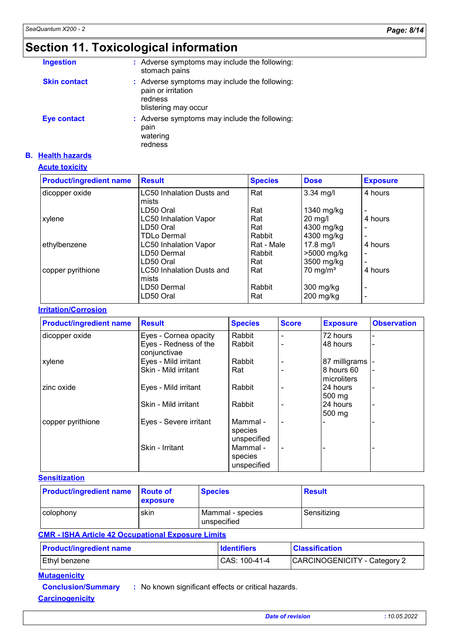# **Section 11. Toxicological information**

| <b>Ingestion</b>    | : Adverse symptoms may include the following:<br>stomach pains                                         |
|---------------------|--------------------------------------------------------------------------------------------------------|
| <b>Skin contact</b> | : Adverse symptoms may include the following:<br>pain or irritation<br>redness<br>blistering may occur |
| <b>Eye contact</b>  | : Adverse symptoms may include the following:<br>pain<br>watering<br>redness                           |

## **B. Health hazards**

## **Acute toxicity**

| <b>Product/ingredient name</b> | <b>Result</b>                | <b>Species</b> | <b>Dose</b>         | <b>Exposure</b> |
|--------------------------------|------------------------------|----------------|---------------------|-----------------|
| dicopper oxide                 | LC50 Inhalation Dusts and    | Rat            | 3.34 mg/l           | 4 hours         |
|                                | mists                        |                |                     |                 |
|                                | LD50 Oral                    | Rat            | 1340 mg/kg          |                 |
| xylene                         | <b>LC50 Inhalation Vapor</b> | Rat            | $20 \text{ mg/l}$   | 4 hours         |
|                                | LD50 Oral                    | Rat            | 4300 mg/kg          |                 |
|                                | <b>TDLo Dermal</b>           | Rabbit         | 4300 mg/kg          | $\blacksquare$  |
| ethylbenzene                   | <b>LC50 Inhalation Vapor</b> | Rat - Male     | $17.8$ mg/l         | 4 hours         |
|                                | LD50 Dermal                  | Rabbit         | >5000 mg/kg         | $\blacksquare$  |
|                                | LD50 Oral                    | Rat            | 3500 mg/kg          | $\blacksquare$  |
| copper pyrithione              | LC50 Inhalation Dusts and    | Rat            | $70 \text{ mg/m}^3$ | 4 hours         |
|                                | lmists                       |                |                     |                 |
|                                | LD50 Dermal                  | Rabbit         | $300$ mg/kg         | $\blacksquare$  |
|                                | LD50 Oral                    | Rat            | $200$ mg/kg         |                 |

## **Irritation/Corrosion**

| <b>Product/ingredient name</b> | <b>Result</b>                         | <b>Species</b>                     | <b>Score</b>             | <b>Exposure</b>              | <b>Observation</b> |
|--------------------------------|---------------------------------------|------------------------------------|--------------------------|------------------------------|--------------------|
| dicopper oxide                 | Eyes - Cornea opacity                 | Rabbit                             | $\blacksquare$           | 72 hours                     |                    |
|                                | Eyes - Redness of the<br>conjunctivae | Rabbit                             | $\overline{\phantom{0}}$ | 48 hours                     |                    |
| xylene                         | Eyes - Mild irritant                  | Rabbit                             |                          | 87 milligrams  -             |                    |
|                                | Skin - Mild irritant                  | Rat                                |                          | 8 hours 60<br>microliters    |                    |
| zinc oxide                     | Eyes - Mild irritant                  | Rabbit                             |                          | 24 hours<br>$500 \text{ mg}$ |                    |
|                                | Skin - Mild irritant                  | Rabbit                             | $\overline{\phantom{0}}$ | 24 hours<br>$500 \text{ mg}$ |                    |
| copper pyrithione              | Eyes - Severe irritant                | Mammal -<br>species<br>unspecified | $\blacksquare$           |                              |                    |
|                                | Skin - Irritant                       | Mammal -<br>species<br>unspecified | ۰                        |                              |                    |

## **Sensitization**

| <b>Product/ingredient name</b> | <b>Route of</b><br><b>Lexposure</b> | <b>Species</b>                  | <b>Result</b> |
|--------------------------------|-------------------------------------|---------------------------------|---------------|
| I colophony                    | <b>skin</b>                         | Mammal - species<br>unspecified | Sensitizing   |

## **CMR - ISHA Article 42 Occupational Exposure Limits**

| <b>Product/ingredient name</b> | <b>I</b> dentifiers | <b>Classification</b>        |
|--------------------------------|---------------------|------------------------------|
| Ethyl benzene                  | CAS: 100-41-4       | CARCINOGENICITY - Category 2 |

## **Mutagenicity**

**Conclusion/Summary :** No known significant effects or critical hazards.

**Carcinogenicity**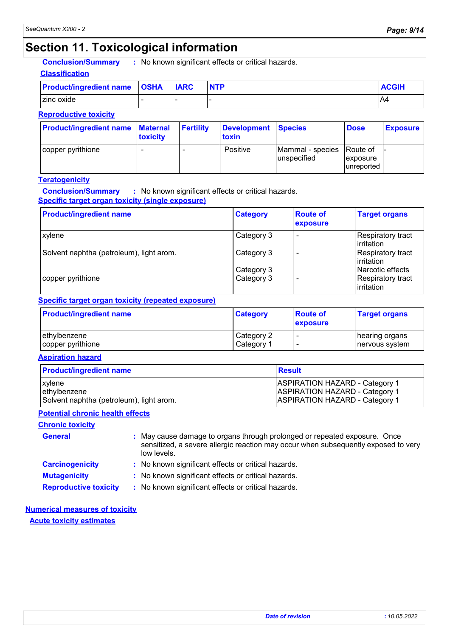# **Section 11. Toxicological information**

**Conclusion/Summary :** No known significant effects or critical hazards.

## **Classification**

| <b>Product/ingredient name   OSHA</b> | <b>IARC</b> | <b>NTP</b> | <b>ACGIH</b> |
|---------------------------------------|-------------|------------|--------------|
| zinc oxide                            |             |            | A4           |

## **Reproductive toxicity**

| <b>Product/ingredient name Maternal</b> | toxicity | <b>Fertility</b> | Development Species<br>toxin |                           | <b>Dose</b>             | <b>Exposure</b> |
|-----------------------------------------|----------|------------------|------------------------------|---------------------------|-------------------------|-----------------|
| copper pyrithione                       |          |                  | Positive                     | Mammal - species Route of |                         |                 |
|                                         |          |                  |                              | lunspecified              | <i><b>Lexposure</b></i> |                 |
|                                         |          |                  |                              |                           | lunreported             |                 |

## **Teratogenicity**

**Conclusion/Summary :** No known significant effects or critical hazards.

## **Specific target organ toxicity (single exposure)**

| <b>Product/ingredient name</b>           | <b>Category</b> | <b>Route of</b><br>exposure | <b>Target organs</b>                           |
|------------------------------------------|-----------------|-----------------------------|------------------------------------------------|
| xylene                                   | Category 3      | $\blacksquare$              | Respiratory tract<br>l irritation              |
| Solvent naphtha (petroleum), light arom. | Category 3      | -                           | Respiratory tract<br>lirritation               |
|                                          | Category 3      |                             | l Narcotic effects                             |
| copper pyrithione                        | Category 3      | -                           | <b>Respiratory tract</b><br><b>lirritation</b> |

## **Specific target organ toxicity (repeated exposure)**

| <b>Product/ingredient name</b> | <b>Category</b> | <b>Route of</b><br><b>exposure</b> | <b>Target organs</b> |
|--------------------------------|-----------------|------------------------------------|----------------------|
| ethylbenzene                   | Category 2      | $\,$                               | hearing organs       |
| copper pyrithione              | Category 1      | $\overline{\phantom{0}}$           | nervous system       |

**Aspiration hazard**

| <b>Product/ingredient name</b>           | <u>I</u> Result                       |
|------------------------------------------|---------------------------------------|
| <b>xylene</b>                            | <b>ASPIRATION HAZARD - Category 1</b> |
| ethylbenzene                             | <b>ASPIRATION HAZARD - Category 1</b> |
| Solvent naphtha (petroleum), light arom. | <b>ASPIRATION HAZARD - Category 1</b> |

## **Potential chronic health effects**

## **Chronic toxicity**

| <b>General</b>         | : May cause damage to organs through prolonged or repeated exposure. Once<br>sensitized, a severe allergic reaction may occur when subsequently exposed to very<br>low levels. |
|------------------------|--------------------------------------------------------------------------------------------------------------------------------------------------------------------------------|
| <b>Carcinogenicity</b> | : No known significant effects or critical hazards.                                                                                                                            |
| <b>Mutagenicity</b>    | : No known significant effects or critical hazards.                                                                                                                            |

**Reproductive toxicity :** No known significant effects or critical hazards.

## **Acute toxicity estimates Numerical measures of toxicity**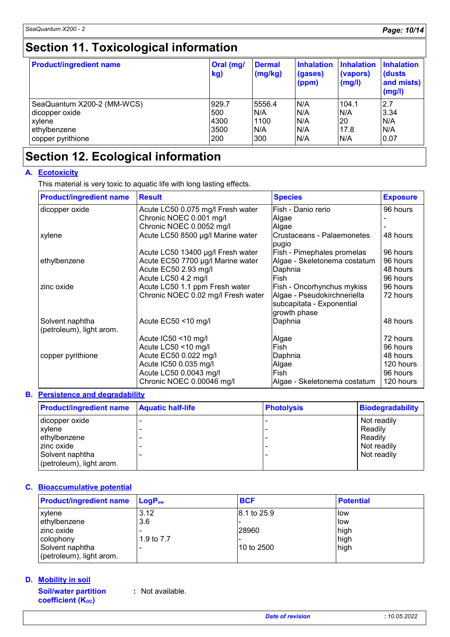# **Section 11. Toxicological information**

| <b>Product/ingredient name</b> | Oral (mg/<br>kg) | <b>Dermal</b><br>(mg/kg) | <b>Inhalation</b><br>(gases)<br>(ppm) | <b>Inhalation</b><br>(vapors)<br>(mg/l) | <b>Inhalation</b><br>(dusts)<br>and mists)<br>(mg/l) |
|--------------------------------|------------------|--------------------------|---------------------------------------|-----------------------------------------|------------------------------------------------------|
| SeaQuantum X200-2 (MM-WCS)     | 929.7            | 5556.4                   | N/A                                   | 104.1                                   | 2.7                                                  |
| dicopper oxide                 | 500              | N/A                      | N/A                                   | N/A                                     | 3.34                                                 |
| xylene                         | 4300             | 1100                     | N/A                                   | 20                                      | N/A                                                  |
| ethylbenzene                   | 3500             | N/A                      | N/A                                   | 17.8                                    | N/A                                                  |
| copper pyrithione              | 200              | 300                      | N/A                                   | N/A                                     | 0.07                                                 |

# **Section 12. Ecological information**

## **A. Ecotoxicity**

This material is very toxic to aquatic life with long lasting effects.

| <b>Product/ingredient name</b>              | <b>Result</b>                      | <b>Species</b>                      | <b>Exposure</b> |
|---------------------------------------------|------------------------------------|-------------------------------------|-----------------|
| dicopper oxide                              | Acute LC50 0.075 mg/l Fresh water  | Fish - Danio rerio                  | 96 hours        |
|                                             | Chronic NOEC 0.001 mg/l            | Algae                               |                 |
|                                             | Chronic NOEC 0.0052 mg/l           | Algae                               |                 |
| xylene                                      | Acute LC50 8500 µg/l Marine water  | Crustaceans - Palaemonetes<br>pugio | 48 hours        |
|                                             | Acute LC50 13400 µg/l Fresh water  | Fish - Pimephales promelas          | 96 hours        |
| ethylbenzene                                | Acute EC50 7700 µg/l Marine water  | Algae - Skeletonema costatum        | 96 hours        |
|                                             | Acute EC50 2.93 mg/l               | Daphnia                             | 48 hours        |
|                                             | Acute LC50 4.2 mg/l                | Fish                                | 96 hours        |
| zinc oxide                                  | Acute LC50 1.1 ppm Fresh water     | Fish - Oncorhynchus mykiss          | 96 hours        |
|                                             | Chronic NOEC 0.02 mg/l Fresh water | Algae - Pseudokirchneriella         | 72 hours        |
|                                             |                                    | subcapitata - Exponential           |                 |
|                                             |                                    | growth phase                        |                 |
| Solvent naphtha<br>(petroleum), light arom. | Acute $EC50 < 10$ mg/l             | Daphnia                             | 48 hours        |
|                                             | Acute IC50 <10 mg/l                | Algae                               | 72 hours        |
|                                             | Acute LC50 <10 mg/l                | Fish                                | 96 hours        |
| copper pyrithione                           | Acute EC50 0.022 mg/l              | Daphnia                             | 48 hours        |
|                                             | Acute IC50 0.035 mg/l              | Algae                               | 120 hours       |
|                                             | Acute LC50 0.0043 mg/l             | Fish                                | 96 hours        |
|                                             | Chronic NOEC 0.00046 mg/l          | Algae - Skeletonema costatum        | 120 hours       |

## **Persistence and degradability B.**

| <b>Product/ingredient name</b> | <b>Aquatic half-life</b> | <b>Photolysis</b> | <b>Biodegradability</b> |
|--------------------------------|--------------------------|-------------------|-------------------------|
| dicopper oxide                 |                          |                   | Not readily             |
| xylene                         |                          |                   | Readily                 |
| ethylbenzene                   |                          |                   | Readily                 |
| zinc oxide                     |                          |                   | Not readily             |
| Solvent naphtha                |                          |                   | Not readily             |
| (petroleum), light arom.       |                          |                   |                         |

## **Bioaccumulative potential C.**

| <b>Product/ingredient name</b> | $\mathsf{LogP}_\mathsf{ow}$ | <b>BCF</b>  | <b>Potential</b> |
|--------------------------------|-----------------------------|-------------|------------------|
| xylene                         | 3.12                        | 8.1 to 25.9 | llow             |
| ethylbenzene                   | 3.6                         |             | llow             |
| zinc oxide                     |                             | 28960       | high             |
| colophony                      | 1.9 to 7.7                  |             | high             |
| Solvent naphtha                |                             | l10 to 2500 | high             |
| (petroleum), light arom.       |                             |             |                  |

## **Mobility in soil D.**

**Soil/water partition coefficient (KOC)**

**:** Not available.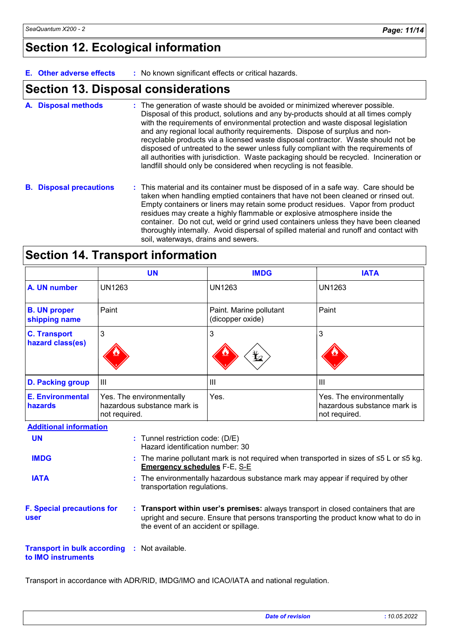# **Section 12. Ecological information**

**E. Other adverse effects :** No known significant effects or critical hazards.

## **Section 13. Disposal considerations**

- The generation of waste should be avoided or minimized wherever possible. Disposal of this product, solutions and any by-products should at all times comply with the requirements of environmental protection and waste disposal legislation and any regional local authority requirements. Dispose of surplus and nonrecyclable products via a licensed waste disposal contractor. Waste should not be disposed of untreated to the sewer unless fully compliant with the requirements of all authorities with jurisdiction. Waste packaging should be recycled. Incineration or landfill should only be considered when recycling is not feasible. **A. Disposal methods :**
- **B. Disposal precautions :** This material and its container must be disposed of in a safe way. Care should be taken when handling emptied containers that have not been cleaned or rinsed out. Empty containers or liners may retain some product residues. Vapor from product residues may create a highly flammable or explosive atmosphere inside the container. Do not cut, weld or grind used containers unless they have been cleaned thoroughly internally. Avoid dispersal of spilled material and runoff and contact with soil, waterways, drains and sewers.

|  |  | <b>Section 14. Transport information</b> |  |
|--|--|------------------------------------------|--|
|--|--|------------------------------------------|--|

|                                         | <b>UN</b>                                                                                                                      | <b>IMDG</b>                                 | <b>IATA</b>                                                                    |
|-----------------------------------------|--------------------------------------------------------------------------------------------------------------------------------|---------------------------------------------|--------------------------------------------------------------------------------|
| A. UN number                            | <b>UN1263</b>                                                                                                                  | <b>UN1263</b>                               | <b>UN1263</b>                                                                  |
| <b>B. UN proper</b><br>shipping name    | Paint                                                                                                                          | Paint. Marine pollutant<br>(dicopper oxide) | Paint                                                                          |
| <b>C. Transport</b><br>hazard class(es) | 3                                                                                                                              | 3<br>迄                                      | 3                                                                              |
| <b>D. Packing group</b>                 | $\mathbf{III}$                                                                                                                 | Ш                                           | Ш                                                                              |
| <b>E. Environmental</b><br>hazards      | Yes. The environmentally<br>hazardous substance mark is<br>not required.                                                       | Yes.                                        | Yes. The environmentally<br>hazardous substance mark is<br>not required.       |
| <b>Additional information</b>           |                                                                                                                                |                                             |                                                                                |
| <b>UN</b>                               | : Tunnel restriction code: (D/E)<br>Hazard identification number: 30                                                           |                                             |                                                                                |
| <b>IMDG</b>                             | : The marine pollutant mark is not required when transported in sizes of ≤5 L or ≤5 kg.<br><b>Emergency schedules F-E, S-E</b> |                                             |                                                                                |
| <b>IATA</b>                             |                                                                                                                                |                                             | : The environmentally hazardous substance mark may appear if required by other |

**F. Special precautions for user**

**Transport within user's premises:** always transport in closed containers that are **:** upright and secure. Ensure that persons transporting the product know what to do in the event of an accident or spillage.

#### **Transport in bulk according :** Not available. **to IMO instruments**

Transport in accordance with ADR/RID, IMDG/IMO and ICAO/IATA and national regulation.

transportation regulations.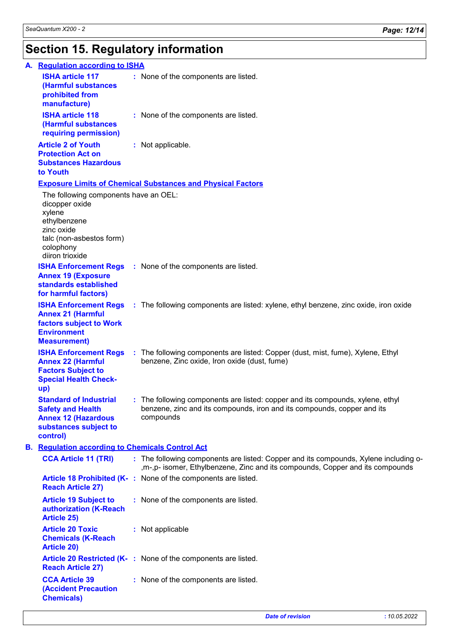# **Section 15. Regulatory information**

| A. Regulation according to ISHA                                                                                                                             |                                                                                                                                                                         |  |
|-------------------------------------------------------------------------------------------------------------------------------------------------------------|-------------------------------------------------------------------------------------------------------------------------------------------------------------------------|--|
| <b>ISHA article 117</b><br>(Harmful substances<br>prohibited from<br>manufacture)                                                                           | : None of the components are listed.                                                                                                                                    |  |
| <b>ISHA article 118</b><br>(Harmful substances<br>requiring permission)                                                                                     | : None of the components are listed.                                                                                                                                    |  |
| <b>Article 2 of Youth</b><br><b>Protection Act on</b><br><b>Substances Hazardous</b><br>to Youth                                                            | : Not applicable.                                                                                                                                                       |  |
|                                                                                                                                                             | <b>Exposure Limits of Chemical Substances and Physical Factors</b>                                                                                                      |  |
| The following components have an OEL:<br>dicopper oxide<br>xylene<br>ethylbenzene<br>zinc oxide<br>talc (non-asbestos form)<br>colophony<br>diiron trioxide |                                                                                                                                                                         |  |
| <b>Annex 19 (Exposure</b><br>standards established<br>for harmful factors)                                                                                  | <b>ISHA Enforcement Regs</b> : None of the components are listed.                                                                                                       |  |
| <b>Annex 21 (Harmful</b><br>factors subject to Work<br><b>Environment</b><br><b>Measurement)</b>                                                            | <b>ISHA Enforcement Regs</b> : The following components are listed: xylene, ethyl benzene, zinc oxide, iron oxide                                                       |  |
| <b>Annex 22 (Harmful</b><br><b>Factors Subject to</b><br><b>Special Health Check-</b><br>up)                                                                | <b>ISHA Enforcement Regs</b> : The following components are listed: Copper (dust, mist, fume), Xylene, Ethyl<br>benzene, Zinc oxide, Iron oxide (dust, fume)            |  |
| <b>Standard of Industrial</b><br><b>Safety and Health</b><br><b>Annex 12 (Hazardous</b><br>substances subject to<br>control)                                | : The following components are listed: copper and its compounds, xylene, ethyl<br>benzene, zinc and its compounds, iron and its compounds, copper and its<br>compounds  |  |
| <b>B.</b> Regulation according to Chemicals Control Act                                                                                                     |                                                                                                                                                                         |  |
| <b>CCA Article 11 (TRI)</b>                                                                                                                                 | : The following components are listed: Copper and its compounds, Xylene including o-<br>, m-, p- isomer, Ethylbenzene, Zinc and its compounds, Copper and its compounds |  |
| <b>Reach Article 27)</b>                                                                                                                                    | Article 18 Prohibited (K-: None of the components are listed.                                                                                                           |  |
| <b>Article 19 Subject to</b><br>authorization (K-Reach<br><b>Article 25)</b>                                                                                | : None of the components are listed.                                                                                                                                    |  |
| <b>Article 20 Toxic</b><br><b>Chemicals (K-Reach</b><br><b>Article 20)</b>                                                                                  | : Not applicable                                                                                                                                                        |  |
| <b>Reach Article 27)</b>                                                                                                                                    | Article 20 Restricted (K-: None of the components are listed.                                                                                                           |  |
| <b>CCA Article 39</b><br><b>(Accident Precaution</b><br><b>Chemicals)</b>                                                                                   | : None of the components are listed.                                                                                                                                    |  |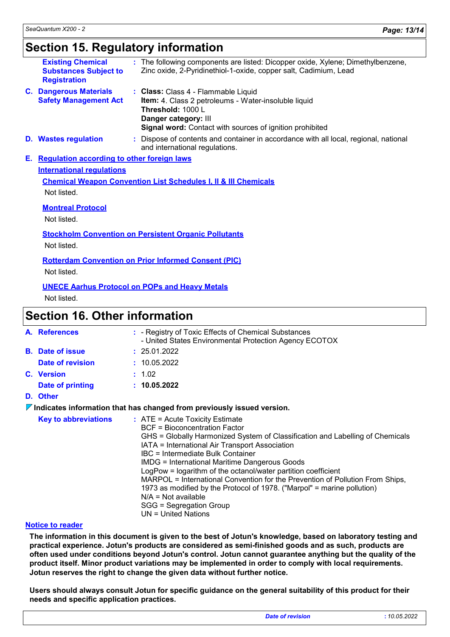# **Section 15. Regulatory information**

| <b>Existing Chemical</b><br><b>Substances Subject to</b><br><b>Registration</b>                                                                                                                                                                                                                                                                                                        |  | The following components are listed: Dicopper oxide, Xylene; Dimethylbenzene,<br>Zinc oxide, 2-Pyridinethiol-1-oxide, copper salt, Cadimium, Lead                                                           |
|----------------------------------------------------------------------------------------------------------------------------------------------------------------------------------------------------------------------------------------------------------------------------------------------------------------------------------------------------------------------------------------|--|-------------------------------------------------------------------------------------------------------------------------------------------------------------------------------------------------------------|
| <b>C. Dangerous Materials</b><br><b>Safety Management Act</b>                                                                                                                                                                                                                                                                                                                          |  | : Class: Class 4 - Flammable Liquid<br>Item: 4. Class 2 petroleums - Water-insoluble liquid<br>Threshold: 1000 L<br>Danger category: III<br><b>Signal word:</b> Contact with sources of ignition prohibited |
| <b>D.</b> Wastes regulation                                                                                                                                                                                                                                                                                                                                                            |  | : Dispose of contents and container in accordance with all local, regional, national<br>and international regulations.                                                                                      |
| E. Regulation according to other foreign laws<br><b>International regulations</b><br><b>Chemical Weapon Convention List Schedules I, II &amp; III Chemicals</b><br>Not listed.<br><b>Montreal Protocol</b><br>Not listed.<br><b>Stockholm Convention on Persistent Organic Pollutants</b><br>Not listed.<br><b>Rotterdam Convention on Prior Informed Consent (PIC)</b><br>Not listed. |  |                                                                                                                                                                                                             |
|                                                                                                                                                                                                                                                                                                                                                                                        |  | <b>UNECE Aarhus Protocol on POPs and Heavy Metals</b>                                                                                                                                                       |

Not listed.

## **Section 16. Other information**

|                                                                                                                                                                                                                                                                                                                                                                              | A. References                                                                          |                                                                                                                                                                                                                                                                  | : - Registry of Toxic Effects of Chemical Substances<br>- United States Environmental Protection Agency ECOTOX |  |  |
|------------------------------------------------------------------------------------------------------------------------------------------------------------------------------------------------------------------------------------------------------------------------------------------------------------------------------------------------------------------------------|----------------------------------------------------------------------------------------|------------------------------------------------------------------------------------------------------------------------------------------------------------------------------------------------------------------------------------------------------------------|----------------------------------------------------------------------------------------------------------------|--|--|
|                                                                                                                                                                                                                                                                                                                                                                              | <b>B.</b> Date of issue                                                                |                                                                                                                                                                                                                                                                  | : 25.01.2022                                                                                                   |  |  |
|                                                                                                                                                                                                                                                                                                                                                                              | <b>Date of revision</b>                                                                |                                                                                                                                                                                                                                                                  | : 10.05.2022                                                                                                   |  |  |
|                                                                                                                                                                                                                                                                                                                                                                              | C. Version                                                                             |                                                                                                                                                                                                                                                                  | : 1.02                                                                                                         |  |  |
|                                                                                                                                                                                                                                                                                                                                                                              | Date of printing                                                                       |                                                                                                                                                                                                                                                                  | : 10.05.2022                                                                                                   |  |  |
|                                                                                                                                                                                                                                                                                                                                                                              | D. Other                                                                               |                                                                                                                                                                                                                                                                  |                                                                                                                |  |  |
|                                                                                                                                                                                                                                                                                                                                                                              | $\triangledown$ Indicates information that has changed from previously issued version. |                                                                                                                                                                                                                                                                  |                                                                                                                |  |  |
| <b>Key to abbreviations</b><br>$:$ ATE = Acute Toxicity Estimate<br><b>BCF</b> = Bioconcentration Factor<br>IATA = International Air Transport Association<br>IBC = Intermediate Bulk Container<br><b>IMDG</b> = International Maritime Dangerous Goods<br>LogPow = logarithm of the octanol/water partition coefficient<br>$N/A = Not available$<br>SGG = Segregation Group |                                                                                        | GHS = Globally Harmonized System of Classification and Labelling of Chemicals<br>MARPOL = International Convention for the Prevention of Pollution From Ships,<br>1973 as modified by the Protocol of 1978. ("Marpol" = marine pollution)<br>UN = United Nations |                                                                                                                |  |  |

## **Notice to reader**

**The information in this document is given to the best of Jotun's knowledge, based on laboratory testing and practical experience. Jotun's products are considered as semi-finished goods and as such, products are often used under conditions beyond Jotun's control. Jotun cannot guarantee anything but the quality of the product itself. Minor product variations may be implemented in order to comply with local requirements. Jotun reserves the right to change the given data without further notice.**

**Users should always consult Jotun for specific guidance on the general suitability of this product for their needs and specific application practices.**